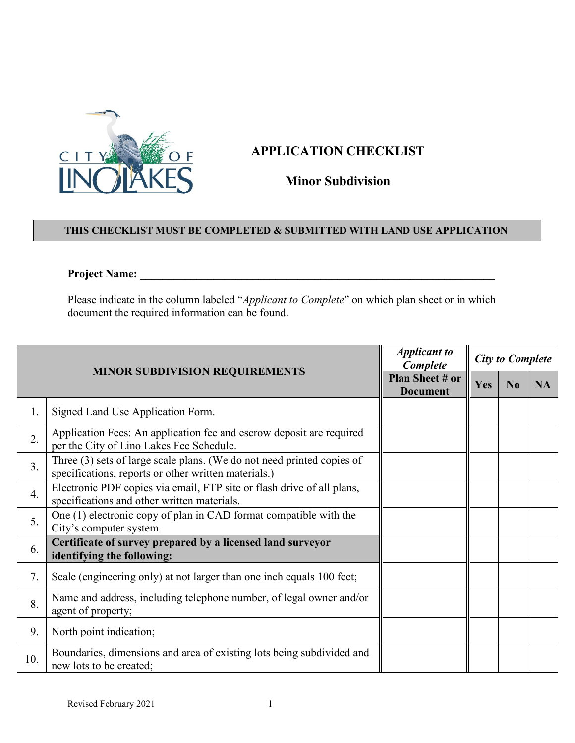

## **APPLICATION CHECKLIST**

**Minor Subdivision**

## **THIS CHECKLIST MUST BE COMPLETED & SUBMITTED WITH LAND USE APPLICATION**

## **Project Name: \_\_\_\_\_\_\_\_\_\_\_\_\_\_\_\_\_\_\_\_\_\_\_\_\_\_\_\_\_\_\_\_\_\_\_\_\_\_\_\_\_\_\_\_\_\_\_\_\_\_\_\_\_\_\_\_\_\_\_\_\_\_\_**

Please indicate in the column labeled "*Applicant to Complete*" on which plan sheet or in which document the required information can be found.

| <b>MINOR SUBDIVISION REQUIREMENTS</b> |                                                                                                                                | <b>Applicant to</b><br>Complete    | <b>City to Complete</b> |                |           |
|---------------------------------------|--------------------------------------------------------------------------------------------------------------------------------|------------------------------------|-------------------------|----------------|-----------|
|                                       |                                                                                                                                | Plan Sheet # or<br><b>Document</b> | Yes                     | N <sub>0</sub> | <b>NA</b> |
| 1.                                    | Signed Land Use Application Form.                                                                                              |                                    |                         |                |           |
| 2.                                    | Application Fees: An application fee and escrow deposit are required<br>per the City of Lino Lakes Fee Schedule.               |                                    |                         |                |           |
| $\overline{3}$ .                      | Three (3) sets of large scale plans. (We do not need printed copies of<br>specifications, reports or other written materials.) |                                    |                         |                |           |
| 4.                                    | Electronic PDF copies via email, FTP site or flash drive of all plans,<br>specifications and other written materials.          |                                    |                         |                |           |
| 5.                                    | One (1) electronic copy of plan in CAD format compatible with the<br>City's computer system.                                   |                                    |                         |                |           |
| 6.                                    | Certificate of survey prepared by a licensed land surveyor<br>identifying the following:                                       |                                    |                         |                |           |
| 7.                                    | Scale (engineering only) at not larger than one inch equals 100 feet;                                                          |                                    |                         |                |           |
| 8.                                    | Name and address, including telephone number, of legal owner and/or<br>agent of property;                                      |                                    |                         |                |           |
| 9.                                    | North point indication;                                                                                                        |                                    |                         |                |           |
| 10.                                   | Boundaries, dimensions and area of existing lots being subdivided and<br>new lots to be created;                               |                                    |                         |                |           |